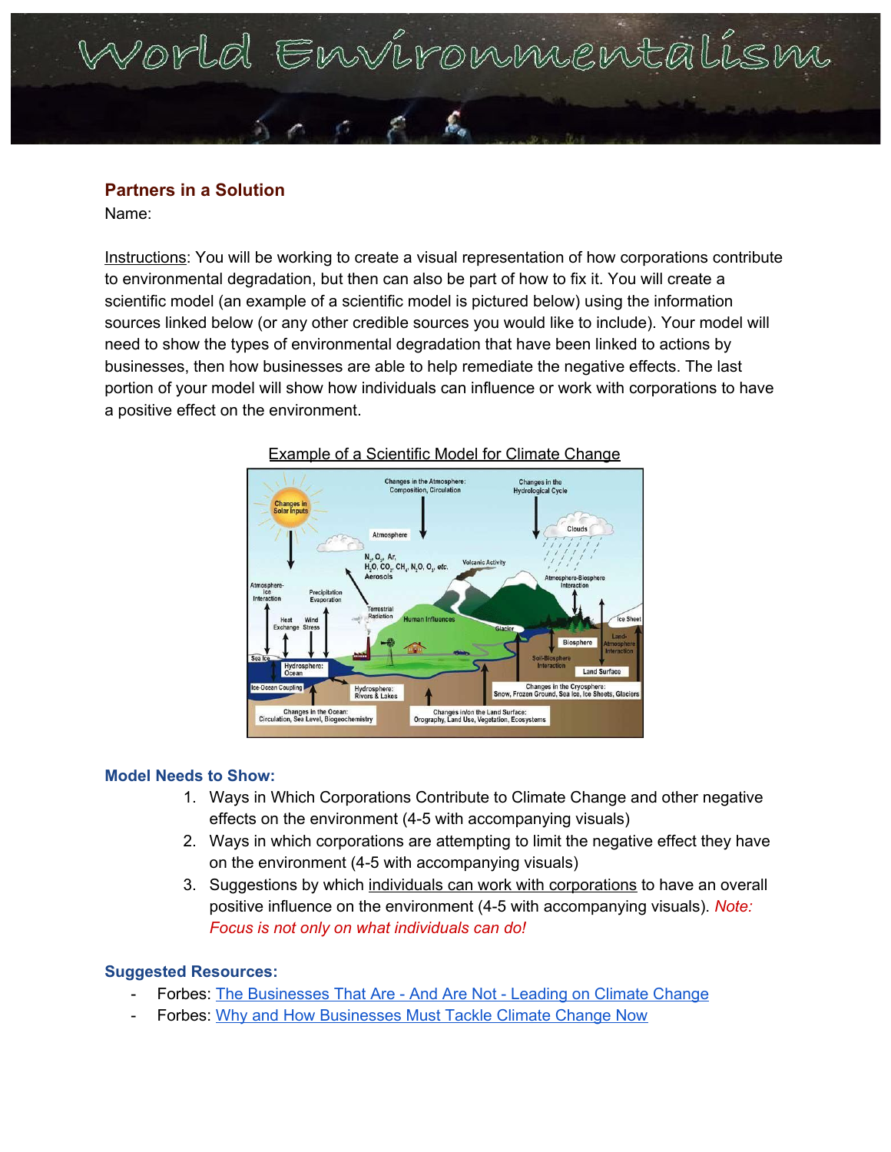# Norld Environnientalism

## **Partners in a Solution**

Name:

Instructions: You will be working to create a visual representation of how corporations contribute to environmental degradation, but then can also be part of how to fix it. You will create a scientific model (an example of a scientific model is pictured below) using the information sources linked below (or any other credible sources you would like to include). Your model will need to show the types of environmental degradation that have been linked to actions by businesses, then how businesses are able to help remediate the negative effects. The last portion of your model will show how individuals can influence or work with corporations to have a positive effect on the environment.





#### **Model Needs to Show:**

- 1. Ways in Which Corporations Contribute to Climate Change and other negative effects on the environment (4-5 with accompanying visuals)
- 2. Ways in which corporations are attempting to limit the negative effect they have on the environment (4-5 with accompanying visuals)
- 3. Suggestions by which individuals can work with corporations to have an overall positive influence on the environment (4-5 with accompanying visuals). *Note: Focus is not only on what individuals can do!*

## **Suggested Resources:**

- Forbes: The [Businesses](https://www.forbes.com/sites/edfenergyexchange/2019/11/08/the-businesses-that-are--and-are-not--leading-on-climate-change/#9c5a0607aa15) That Are And Are Not Leading on Climate Change
- Forbes: Why and How [Businesses](https://www.forbes.com/sites/simonmainwaring/2018/10/25/why-and-how-business-must-tackle-climate-change-now/#a561f134712b) Must Tackle Climate Change Now